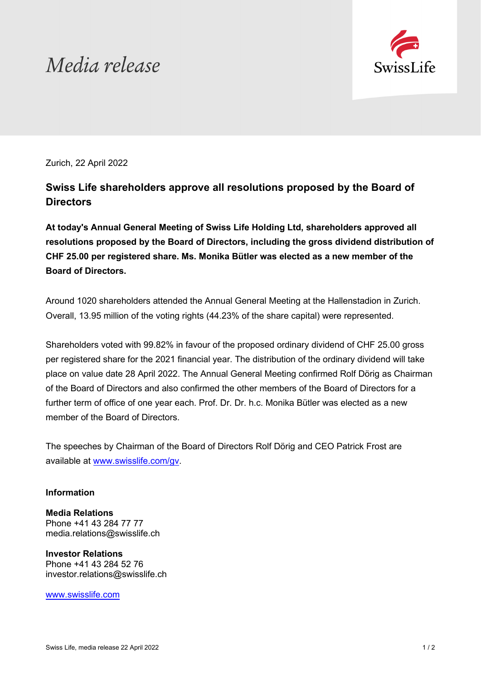# Media release



Zurich, 22 April 2022

## **Swiss Life shareholders approve all resolutions proposed by the Board of Directors**

**At today's Annual General Meeting of Swiss Life Holding Ltd, shareholders approved all resolutions proposed by the Board of Directors, including the gross dividend distribution of CHF 25.00 per registered share. Ms. Monika Bütler was elected as a new member of the Board of Directors.**

Around 1020 shareholders attended the Annual General Meeting at the Hallenstadion in Zurich. Overall, 13.95 million of the voting rights (44.23% of the share capital) were represented.

Shareholders voted with 99.82% in favour of the proposed ordinary dividend of CHF 25.00 gross per registered share for the 2021 financial year. The distribution of the ordinary dividend will take place on value date 28 April 2022. The Annual General Meeting confirmed Rolf Dörig as Chairman of the Board of Directors and also confirmed the other members of the Board of Directors for a further term of office of one year each. Prof. Dr. Dr. h.c. Monika Bütler was elected as a new member of the Board of Directors.

The speeches by Chairman of the Board of Directors Rolf Dörig and CEO Patrick Frost are available at [www.swisslife.com/gv.](https://www.swisslife.com/gv)

### **Information**

**Media Relations** Phone +41 43 284 77 77 [media.relations@swisslife.ch](mailto:media.relations@swisslife.ch)

**Investor Relations** Phone +41 43 284 52 76 [investor.relations@swisslife.ch](mailto:investor.relations@swisslife.ch)

[www.swisslife.com](https://www.swisslife.com/en/home.html)